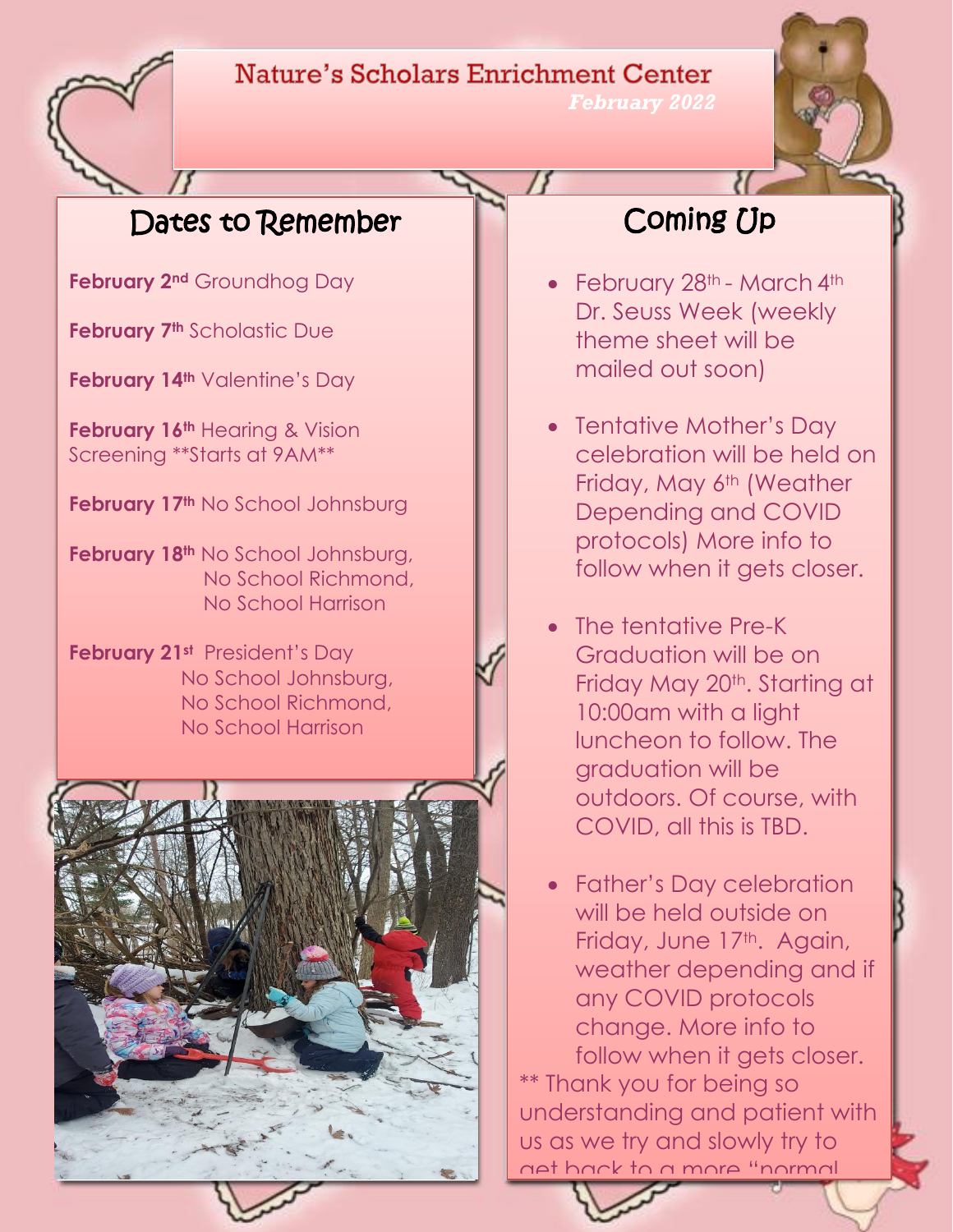## Nature's Scholars Enrichment Center



*February 2022* 

## Dates to Remember

**February 2nd** Groundhog Day

**February 7th** Scholastic Due

**February 14th** Valentine's Day

**February 16th** Hearing & Vision Screening \*\*Starts at 9AM\*\*

**February 17th** No School Johnsburg

**February 18th** No School Johnsburg, No School Richmond, No School Harrison

**February 21st** President's Day No School Johnsburg, No School Richmond, No School Harrison



# Coming Up

- February 28<sup>th</sup> March 4<sup>th</sup> Dr. Seuss Week (weekly theme sheet will be mailed out soon)
- Tentative Mother's Day celebration will be held on Friday, May 6<sup>th</sup> (Weather Depending and COVID protocols) More info to follow when it gets closer.
- The tentative Pre-K Graduation will be on Friday May 20<sup>th</sup>. Starting at 10:00am with a light luncheon to follow. The graduation will be outdoors. Of course, with COVID, all this is TBD.
- Father's Day celebration will be held outside on Friday, June 17<sup>th</sup>. Again, weather depending and if any COVID protocols change. More info to follow when it gets closer. \*\* Thank you for being so understanding and patient with us as we try and slowly try to get back to a more "normal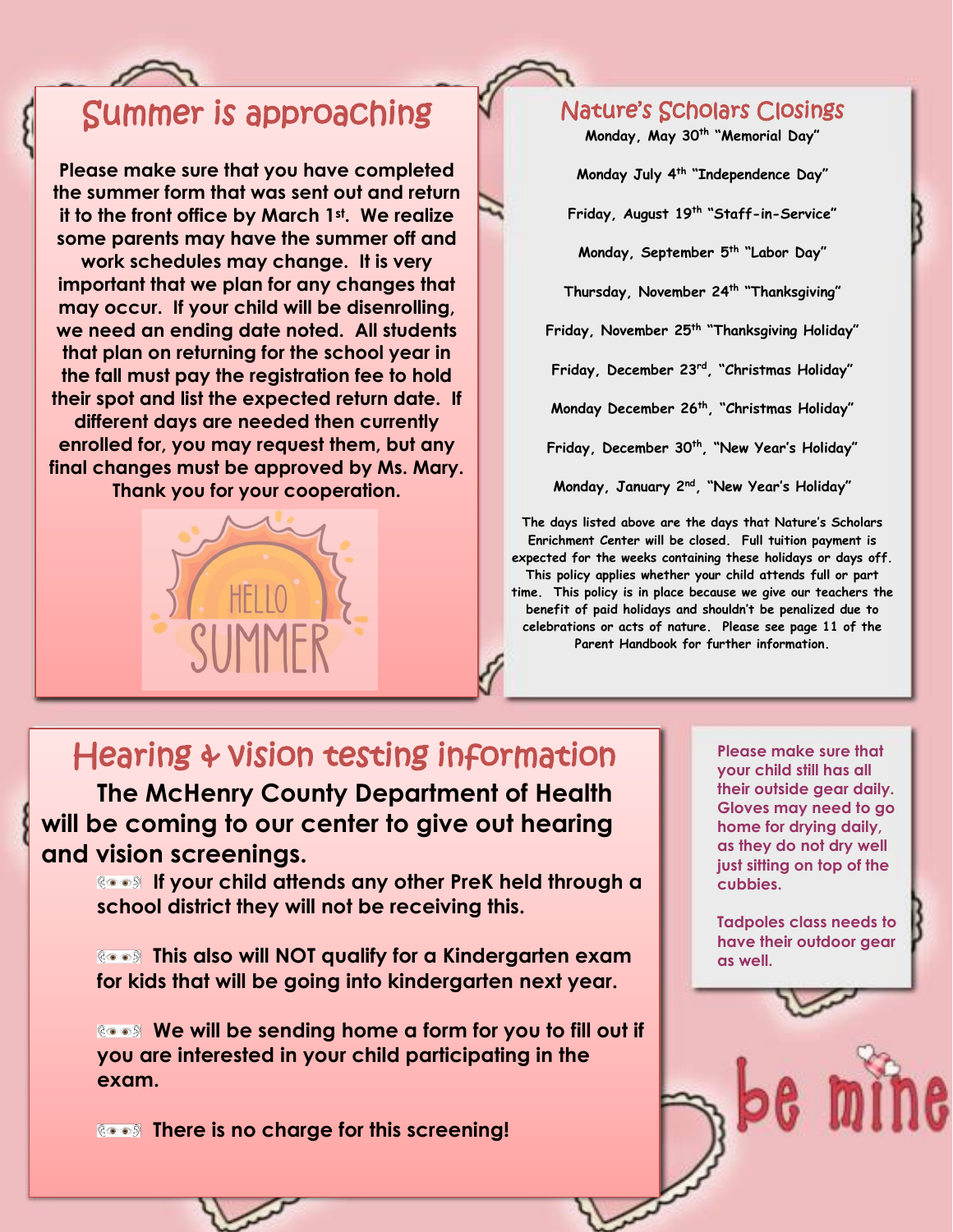## Summer is approaching

**Please make sure that you have completed the summer form that was sent out and return it to the front office by March 1st . We realize some parents may have the summer off and work schedules may change. It is very important that we plan for any changes that may occur. If your child will be disenrolling, we need an ending date noted. All students that plan on returning for the school year in the fall must pay the registration fee to hold their spot and list the expected return date. If different days are needed then currently enrolled for, you may request them, but any final changes must be approved by Ms. Mary. Thank you for your cooperation.**



#### Nature's Scholars Closings

**Monday, May 30th "Memorial Day"**

**Monday July 4 th "Independence Day"**

**Friday, August 19th "Staff-in-Service"**

**Monday, September 5 th "Labor Day"**

**Thursday, November 24 th "Thanksgiving"**

**Friday, November 25 th "Thanksgiving Holiday"**

**Friday, December 23rd, "Christmas Holiday"**

**Monday December 26 th , "Christmas Holiday"**

**Friday, December 30th, "New Year's Holiday"**

**Monday, January 2nd, "New Year's Holiday"**

**The days listed above are the days that Nature's Scholars Enrichment Center will be closed. Full tuition payment is expected for the weeks containing these holidays or days off. This policy applies whether your child attends full or part time. This policy is in place because we give our teachers the benefit of paid holidays and shouldn't be penalized due to celebrations or acts of nature. Please see page 11 of the Parent Handbook for further information.**

### Hearing & vision testing information

**The McHenry County Department of Health will be coming to our center to give out hearing and vision screenings.** 

**If your child attends any other PreK held through a school district they will not be receiving this.** 

**This also will NOT qualify for a Kindergarten exam for kids that will be going into kindergarten next year.** 

**We will be sending home a form for you to fill out if you are interested in your child participating in the exam.**

**ROODS** There is no charge for this screening!

**Please make sure that your child still has all their outside gear daily. Gloves may need to go home for drying daily, as they do not dry well just sitting on top of the cubbies.** 

**Tadpoles class needs to have their outdoor gear as well.**